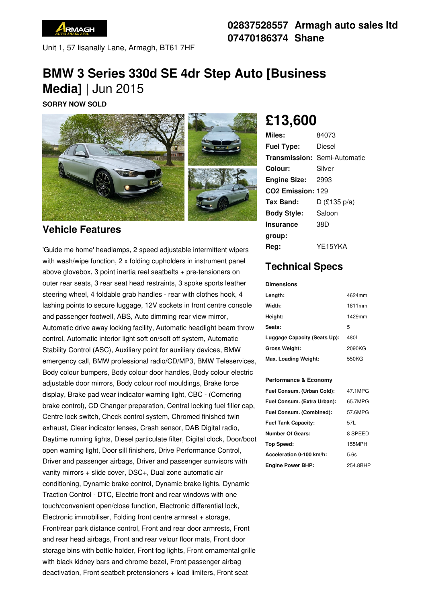

Unit 1, 57 lisanally Lane, Armagh, BT61 7HF

## **02837528557 Armagh auto sales ltd 07470186374 Shane**

# **BMW 3 Series 330d SE 4dr Step Auto [Business Media]** | Jun 2015

**SORRY NOW SOLD**



## **Vehicle Features**

'Guide me home' headlamps, 2 speed adjustable intermittent wipers with wash/wipe function, 2 x folding cupholders in instrument panel above glovebox, 3 point inertia reel seatbelts + pre-tensioners on outer rear seats, 3 rear seat head restraints, 3 spoke sports leather steering wheel, 4 foldable grab handles - rear with clothes hook, 4 lashing points to secure luggage, 12V sockets in front centre console and passenger footwell, ABS, Auto dimming rear view mirror, Automatic drive away locking facility, Automatic headlight beam throw control, Automatic interior light soft on/soft off system, Automatic Stability Control (ASC), Auxiliary point for auxiliary devices, BMW emergency call, BMW professional radio/CD/MP3, BMW Teleservices, Body colour bumpers, Body colour door handles, Body colour electric adjustable door mirrors, Body colour roof mouldings, Brake force display, Brake pad wear indicator warning light, CBC - (Cornering brake control), CD Changer preparation, Central locking fuel filler cap, Centre lock switch, Check control system, Chromed finished twin exhaust, Clear indicator lenses, Crash sensor, DAB Digital radio, Daytime running lights, Diesel particulate filter, Digital clock, Door/boot open warning light, Door sill finishers, Drive Performance Control, Driver and passenger airbags, Driver and passenger sunvisors with vanity mirrors + slide cover, DSC+, Dual zone automatic air conditioning, Dynamic brake control, Dynamic brake lights, Dynamic Traction Control - DTC, Electric front and rear windows with one touch/convenient open/close function, Electronic differential lock, Electronic immobiliser, Folding front centre armrest + storage, Front/rear park distance control, Front and rear door armrests, Front and rear head airbags, Front and rear velour floor mats, Front door storage bins with bottle holder, Front fog lights, Front ornamental grille with black kidney bars and chrome bezel, Front passenger airbag deactivation, Front seatbelt pretensioners + load limiters, Front seat

# **£13,600**

| Miles:                        | 84073                               |
|-------------------------------|-------------------------------------|
| <b>Fuel Type:</b>             | Diesel                              |
|                               | <b>Transmission: Semi-Automatic</b> |
| Colour:                       | Silver                              |
| <b>Engine Size: 2993</b>      |                                     |
| CO <sub>2</sub> Emission: 129 |                                     |
| Tax Band:                     | $D$ (£135 p/a)                      |
| <b>Body Style:</b>            | Saloon                              |
| <b>Insurance</b>              | 38D                                 |
| group:                        |                                     |
| Rea:                          | YE15YKA                             |

# **Technical Specs**

#### **Dimensions**

| Length:                      | 4624mm |
|------------------------------|--------|
| Width:                       | 1811mm |
| Height:                      | 1429mm |
| Seats:                       | 5      |
| Luggage Capacity (Seats Up): | 480L   |
| <b>Gross Weight:</b>         | 2090KG |
| Max. Loading Weight:         | 550KG  |

### **Performance & Economy**

| Fuel Consum. (Urban Cold):  | 47.1MPG       |
|-----------------------------|---------------|
| Fuel Consum. (Extra Urban): | 65.7MPG       |
| Fuel Consum. (Combined):    | 57.6MPG       |
| <b>Fuel Tank Capacity:</b>  | 57L           |
| <b>Number Of Gears:</b>     | 8 SPEED       |
| Top Speed:                  | <b>155MPH</b> |
| Acceleration 0-100 km/h:    | 5.6s          |
| <b>Engine Power BHP:</b>    | 254.8BHP      |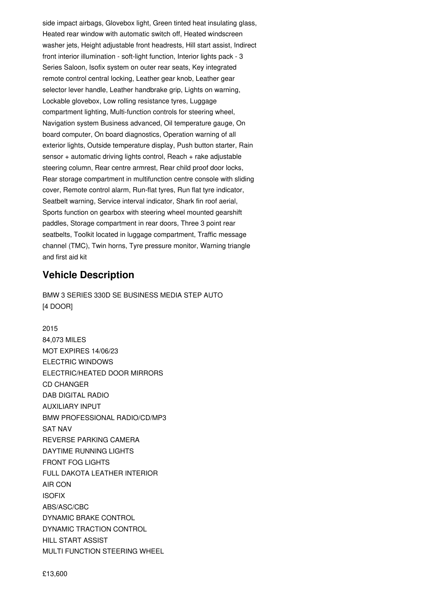side impact airbags, Glovebox light, Green tinted heat insulating glass, Heated rear window with automatic switch off, Heated windscreen washer jets, Height adjustable front headrests, Hill start assist, Indirect front interior illumination - soft-light function, Interior lights pack - 3 Series Saloon, Isofix system on outer rear seats, Key integrated remote control central locking, Leather gear knob, Leather gear selector lever handle, Leather handbrake grip, Lights on warning, Lockable glovebox, Low rolling resistance tyres, Luggage compartment lighting, Multi-function controls for steering wheel, Navigation system Business advanced, Oil temperature gauge, On board computer, On board diagnostics, Operation warning of all exterior lights, Outside temperature display, Push button starter, Rain sensor + automatic driving lights control, Reach + rake adjustable steering column, Rear centre armrest, Rear child proof door locks, Rear storage compartment in multifunction centre console with sliding cover, Remote control alarm, Run-flat tyres, Run flat tyre indicator, Seatbelt warning, Service interval indicator, Shark fin roof aerial, Sports function on gearbox with steering wheel mounted gearshift paddles, Storage compartment in rear doors, Three 3 point rear seatbelts, Toolkit located in luggage compartment, Traffic message channel (TMC), Twin horns, Tyre pressure monitor, Warning triangle and first aid kit

### **Vehicle Description**

BMW 3 SERIES 330D SE BUSINESS MEDIA STEP AUTO [4 DOOR]

2015 84,073 MILES MOT EXPIRES 14/06/23 ELECTRIC WINDOWS ELECTRIC/HEATED DOOR MIRRORS CD CHANGER DAB DIGITAL RADIO AUXILIARY INPUT BMW PROFESSIONAL RADIO/CD/MP3 SAT NAV REVERSE PARKING CAMERA DAYTIME RUNNING LIGHTS FRONT FOG LIGHTS FULL DAKOTA LEATHER INTERIOR AIR CON ISOFIX ABS/ASC/CBC DYNAMIC BRAKE CONTROL DYNAMIC TRACTION CONTROL HILL START ASSIST MULTI FUNCTION STEERING WHEEL